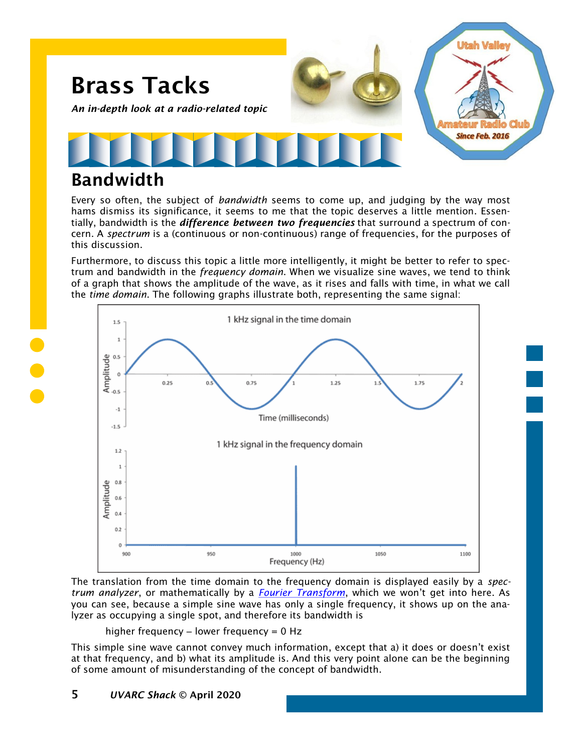

### Bandwidth

Every so often, the subject of *bandwidth* seems to come up, and judging by the way most hams dismiss its significance, it seems to me that the topic deserves a little mention. Essentially, bandwidth is the *difference between two frequencies* that surround a spectrum of concern. A *spectrum* is a (continuous or non-continuous) range of frequencies, for the purposes of this discussion.

Furthermore, to discuss this topic a little more intelligently, it might be better to refer to spectrum and bandwidth in the *frequency domain*. When we visualize sine waves, we tend to think of a graph that shows the amplitude of the wave, as it rises and falls with time, in what we call the *time domain*. The following graphs illustrate both, representing the same signal:



The translation from the time domain to the frequency domain is displayed easily by a *spectrum analyzer*, or mathematically by a *[Fourier Transform](https://en.wikipedia.org/wiki/Fourier_transform)*, which we won't get into here. As you can see, because a simple sine wave has only a single frequency, it shows up on the analyzer as occupying a single spot, and therefore its bandwidth is

higher frequency  $-$  lower frequency  $= 0$  Hz

This simple sine wave cannot convey much information, except that a) it does or doesn't exist at that frequency, and b) what its amplitude is. And this very point alone can be the beginning of some amount of misunderstanding of the concept of bandwidth.

#### 5 *UVARC Shack* © April 2020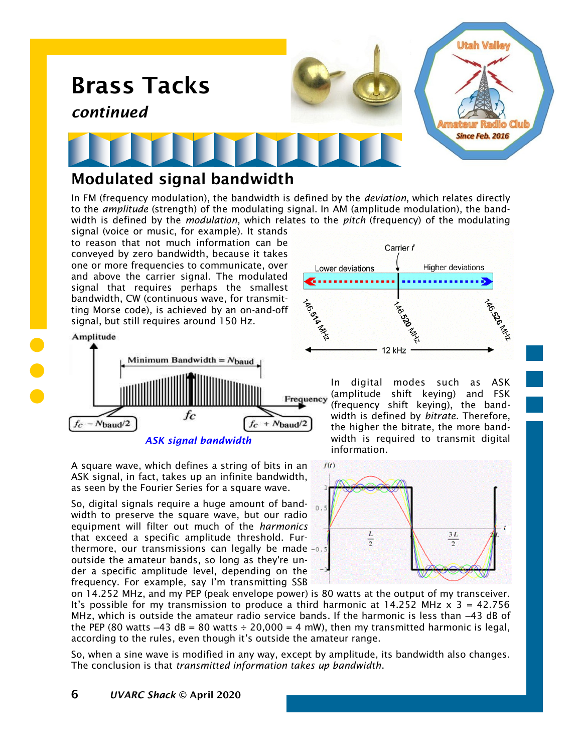

#### Modulated signal bandwidth

In FM (frequency modulation), the bandwidth is defined by the *deviation*, which relates directly to the *amplitude* (strength) of the modulating signal. In AM (amplitude modulation), the bandwidth is defined by the *modulation*, which relates to the *pitch* (frequency) of the modulating signal (voice or music, for example). It stands

to reason that not much information can be conveyed by zero bandwidth, because it takes one or more frequencies to communicate, over and above the carrier signal. The modulated signal that requires perhaps the smallest bandwidth, CW (continuous wave, for transmitting Morse code), is achieved by an on-and-off signal, but still requires around 150 Hz.



A square wave, which defines a string of bits in an ASK signal, in fact, takes up an infinite bandwidth, as seen by the Fourier Series for a square wave.

So, digital signals require a huge amount of bandwidth to preserve the square wave, but our radio equipment will filter out much of the *harmonics*  that exceed a specific amplitude threshold. Furthermore, our transmissions can legally be made -0.5 outside the amateur bands, so long as they're under a specific amplitude level, depending on the frequency. For example, say I'm transmitting SSB



In digital modes such as ASK (amplitude shift keying) and FSK (frequency shift keying), the bandwidth is defined by *bitrate*. Therefore, the higher the bitrate, the more bandwidth is required to transmit digital information.



on 14.252 MHz, and my PEP (peak envelope power) is 80 watts at the output of my transceiver. It's possible for my transmission to produce a third harmonic at  $14.252$  MHz  $\times$  3 = 42.756 MHz, which is outside the amateur radio service bands. If the harmonic is less than -43 dB of the PEP (80 watts  $-43$  dB = 80 watts  $\div$  20,000 = 4 mW), then my transmitted harmonic is legal, according to the rules, even though it's outside the amateur range.

So, when a sine wave is modified in any way, except by amplitude, its bandwidth also changes. The conclusion is that *transmitted information takes up bandwidth*.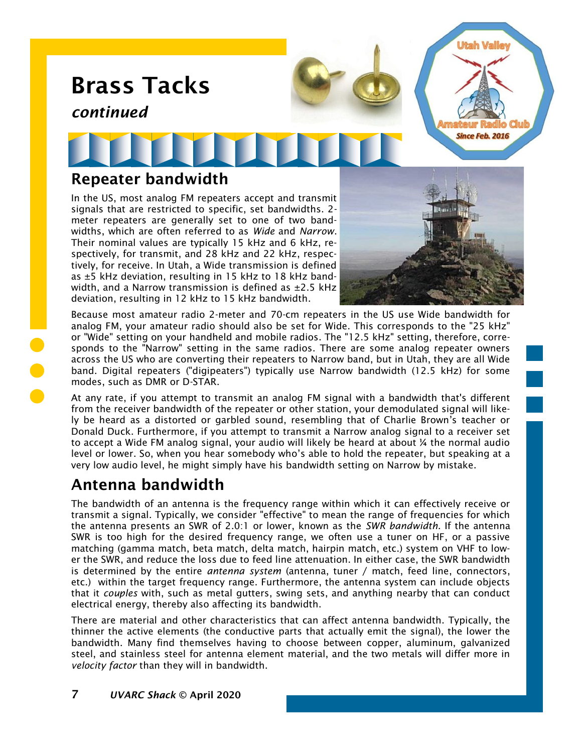

Because most amateur radio 2-meter and 70-cm repeaters in the US use Wide bandwidth for analog FM, your amateur radio should also be set for Wide. This corresponds to the "25 kHz" or "Wide" setting on your handheld and mobile radios. The "12.5 kHz" setting, therefore, corresponds to the "Narrow" setting in the same radios. There are some analog repeater owners across the US who are converting their repeaters to Narrow band, but in Utah, they are all Wide band. Digital repeaters ("digipeaters") typically use Narrow bandwidth (12.5 kHz) for some modes, such as DMR or D-STAR.

At any rate, if you attempt to transmit an analog FM signal with a bandwidth that's different from the receiver bandwidth of the repeater or other station, your demodulated signal will likely be heard as a distorted or garbled sound, resembling that of Charlie Brown's teacher or Donald Duck. Furthermore, if you attempt to transmit a Narrow analog signal to a receiver set to accept a Wide FM analog signal, your audio will likely be heard at about ¼ the normal audio level or lower. So, when you hear somebody who's able to hold the repeater, but speaking at a very low audio level, he might simply have his bandwidth setting on Narrow by mistake.

### Antenna bandwidth

The bandwidth of an antenna is the frequency range within which it can effectively receive or transmit a signal. Typically, we consider "effective" to mean the range of frequencies for which the antenna presents an SWR of 2.0:1 or lower, known as the *SWR bandwidth*. If the antenna SWR is too high for the desired frequency range, we often use a tuner on HF, or a passive matching (gamma match, beta match, delta match, hairpin match, etc.) system on VHF to lower the SWR, and reduce the loss due to feed line attenuation. In either case, the SWR bandwidth is determined by the entire *antenna system* (antenna, tuner / match, feed line, connectors, etc.) within the target frequency range. Furthermore, the antenna system can include objects that it *couples* with, such as metal gutters, swing sets, and anything nearby that can conduct electrical energy, thereby also affecting its bandwidth.

There are material and other characteristics that can affect antenna bandwidth. Typically, the thinner the active elements (the conductive parts that actually emit the signal), the lower the bandwidth. Many find themselves having to choose between copper, aluminum, galvanized steel, and stainless steel for antenna element material, and the two metals will differ more in *velocity factor* than they will in bandwidth.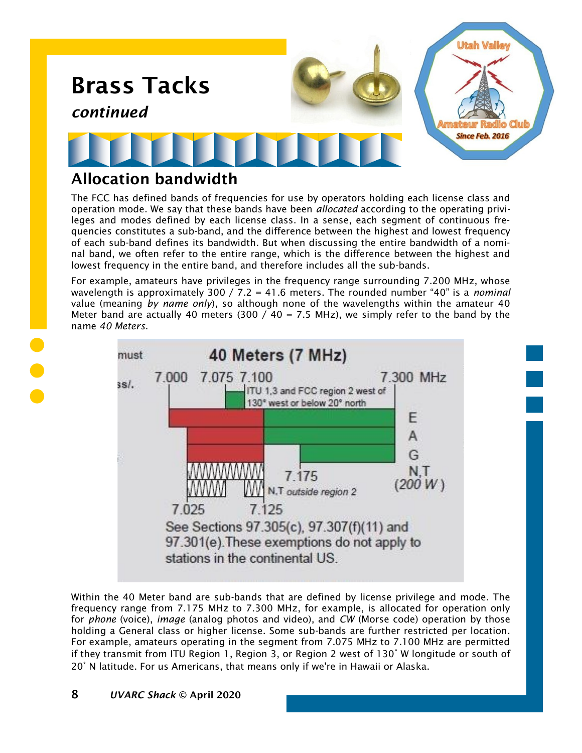

#### Allocation bandwidth

The FCC has defined bands of frequencies for use by operators holding each license class and operation mode. We say that these bands have been *allocated* according to the operating privileges and modes defined by each license class. In a sense, each segment of continuous frequencies constitutes a sub-band, and the difference between the highest and lowest frequency of each sub-band defines its bandwidth. But when discussing the entire bandwidth of a nominal band, we often refer to the entire range, which is the difference between the highest and lowest frequency in the entire band, and therefore includes all the sub-bands.

For example, amateurs have privileges in the frequency range surrounding 7.200 MHz, whose wavelength is approximately 300 / 7.2 = 41.6 meters. The rounded number "40" is a *nominal* value (meaning *by name only*), so although none of the wavelengths within the amateur 40 Meter band are actually 40 meters (300 / 40 = 7.5 MHz), we simply refer to the band by the name *40 Meters*.



Within the 40 Meter band are sub-bands that are defined by license privilege and mode. The frequency range from 7.175 MHz to 7.300 MHz, for example, is allocated for operation only for *phone* (voice), *image* (analog photos and video), and *CW* (Morse code) operation by those holding a General class or higher license. Some sub-bands are further restricted per location. For example, amateurs operating in the segment from 7.075 MHz to 7.100 MHz are permitted if they transmit from ITU Region 1, Region 3, or Region 2 west of 130° W longitude or south of 20° N latitude. For us Americans, that means only if we're in Hawaii or Alaska.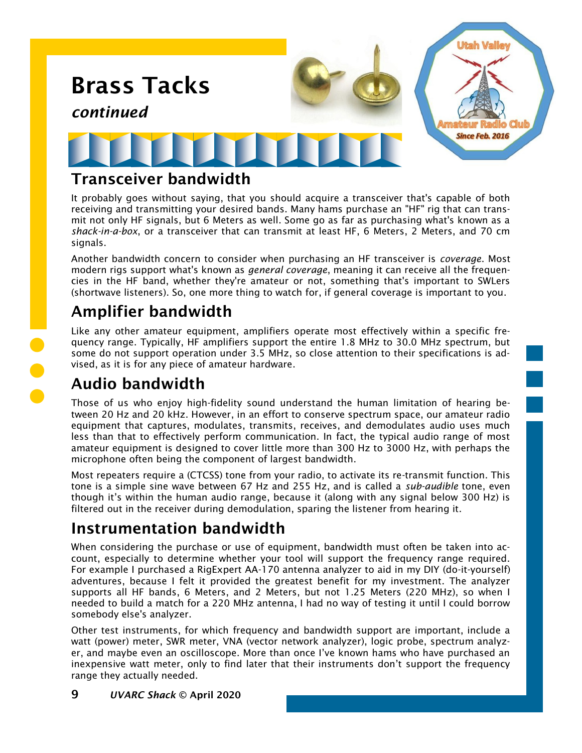

#### Transceiver bandwidth

It probably goes without saying, that you should acquire a transceiver that's capable of both receiving and transmitting your desired bands. Many hams purchase an "HF" rig that can transmit not only HF signals, but 6 Meters as well. Some go as far as purchasing what's known as a *shack-in-a-box*, or a transceiver that can transmit at least HF, 6 Meters, 2 Meters, and 70 cm signals.

Another bandwidth concern to consider when purchasing an HF transceiver is *coverage*. Most modern rigs support what's known as *general coverage*, meaning it can receive all the frequencies in the HF band, whether they're amateur or not, something that's important to SWLers (shortwave listeners). So, one more thing to watch for, if general coverage is important to you.

## Amplifier bandwidth

Like any other amateur equipment, amplifiers operate most effectively within a specific frequency range. Typically, HF amplifiers support the entire 1.8 MHz to 30.0 MHz spectrum, but some do not support operation under 3.5 MHz, so close attention to their specifications is advised, as it is for any piece of amateur hardware.

## Audio bandwidth

Those of us who enjoy high-fidelity sound understand the human limitation of hearing between 20 Hz and 20 kHz. However, in an effort to conserve spectrum space, our amateur radio equipment that captures, modulates, transmits, receives, and demodulates audio uses much less than that to effectively perform communication. In fact, the typical audio range of most amateur equipment is designed to cover little more than 300 Hz to 3000 Hz, with perhaps the microphone often being the component of largest bandwidth.

Most repeaters require a (CTCSS) tone from your radio, to activate its re-transmit function. This tone is a simple sine wave between 67 Hz and 255 Hz, and is called a *sub-audible* tone, even though it's within the human audio range, because it (along with any signal below 300 Hz) is filtered out in the receiver during demodulation, sparing the listener from hearing it.

### Instrumentation bandwidth

When considering the purchase or use of equipment, bandwidth must often be taken into account, especially to determine whether your tool will support the frequency range required. For example I purchased a RigExpert AA-170 antenna analyzer to aid in my DIY (do-it-yourself) adventures, because I felt it provided the greatest benefit for my investment. The analyzer supports all HF bands, 6 Meters, and 2 Meters, but not 1.25 Meters (220 MHz), so when I needed to build a match for a 220 MHz antenna, I had no way of testing it until I could borrow somebody else's analyzer.

Other test instruments, for which frequency and bandwidth support are important, include a watt (power) meter, SWR meter, VNA (vector network analyzer), logic probe, spectrum analyzer, and maybe even an oscilloscope. More than once I've known hams who have purchased an inexpensive watt meter, only to find later that their instruments don't support the frequency range they actually needed.

9 *UVARC Shack* © April 2020